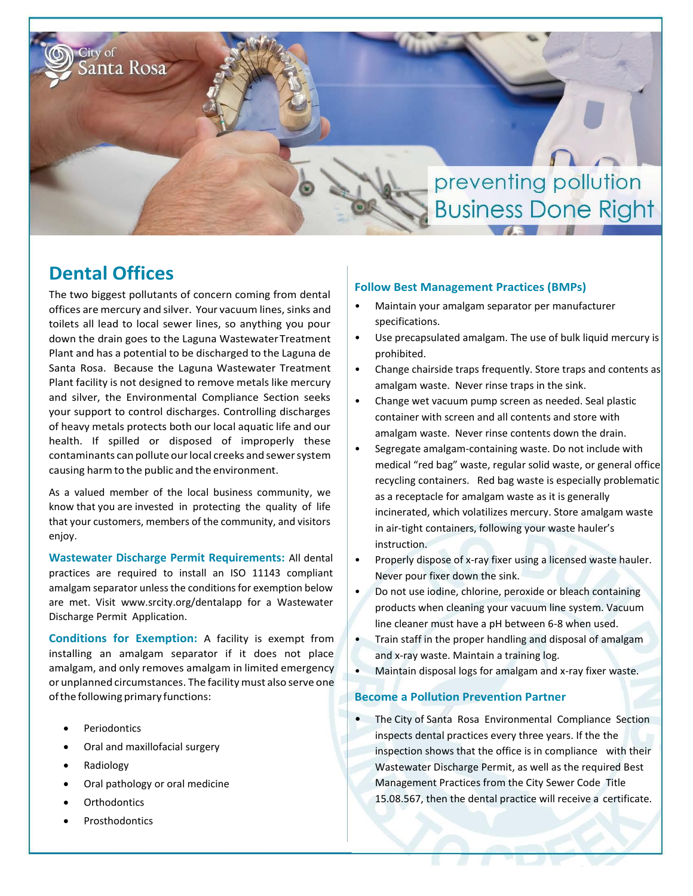

# **Dental Offices**

The two biggest pollutants of concern coming from dental offices are mercury and silver. Your vacuum lines, sinks and toilets all lead to local sewer lines, so anything you pour down the drain goes to the Laguna WastewaterTreatment Plant and has a potential to be discharged to the Laguna de Santa Rosa. Because the Laguna Wastewater Treatment Plant facility is not designed to remove metals like mercury and silver, the Environmental Compliance Section seeks your support to control discharges. Controlling discharges of heavy metals protects both our local aquatic life and our health. If spilled or disposed of improperly these contaminants can pollute ourlocal creeks and sewersystem causing harmto the public and the environment.

As a valued member of the local business community, we know that you are invested in protecting the quality of life that your customers, members of the community, and visitors enjoy.

**Wastewater Discharge Permit Requirements:** All dental practices are required to install an ISO 11143 compliant amalgam separator unless the conditions for exemption below are met. Visit [www.srcity.org/dentalapp](http://www.srcity.org/dentalapp) for a Wastewater Discharge Permit Application.

**Conditions for Exemption:** A facility is exempt from installing an amalgam separator if it does not place amalgam, and only removes amalgam in limited emergency or unplanned circumstances. The facility must also serve one of the following primary functions:

- Periodontics
- Oral and maxillofacial surgery
- Radiology
- Oral pathology or oral medicine
- **Orthodontics**
- Prosthodontics

#### **Follow Best Management Practices (BMPs)**

- Maintain your amalgam separator per manufacturer specifications.
- Use precapsulated amalgam. The use of bulk liquid mercury is prohibited.
- Change chairside traps frequently. Store traps and contents as amalgam waste. Never rinse traps in the sink.
- Change wet vacuum pump screen as needed. Seal plastic container with screen and all contents and store with amalgam waste. Never rinse contents down the drain.
- Segregate amalgam-containing waste. Do not include with medical "red bag" waste, regular solid waste, or general office recycling containers. Red bag waste is especially problematic as a receptacle for amalgam waste as it is generally incinerated, which volatilizes mercury. Store amalgam waste in air-tight containers, following your waste hauler's instruction.
- Properly dispose of x-ray fixer using a licensed waste hauler. Never pour fixer down the sink.
- Do not use iodine, chlorine, peroxide or bleach containing products when cleaning your vacuum line system. Vacuum line cleaner must have a pH between 6-8 when used.
- Train staff in the proper handling and disposal of amalgam and x-ray waste. Maintain a training log.
- Maintain disposal logs for amalgam and x-ray fixer waste.

#### **Become a Pollution Prevention Partner**

• The City of Santa Rosa Environmental Compliance Section inspects dental practices every three years. If the the inspection shows that the office is in compliance with their Wastewater Discharge Permit, as well as the required Best Management Practices from the City Sewer Code Title 15.08.567, then the dental practice will receive a certificate.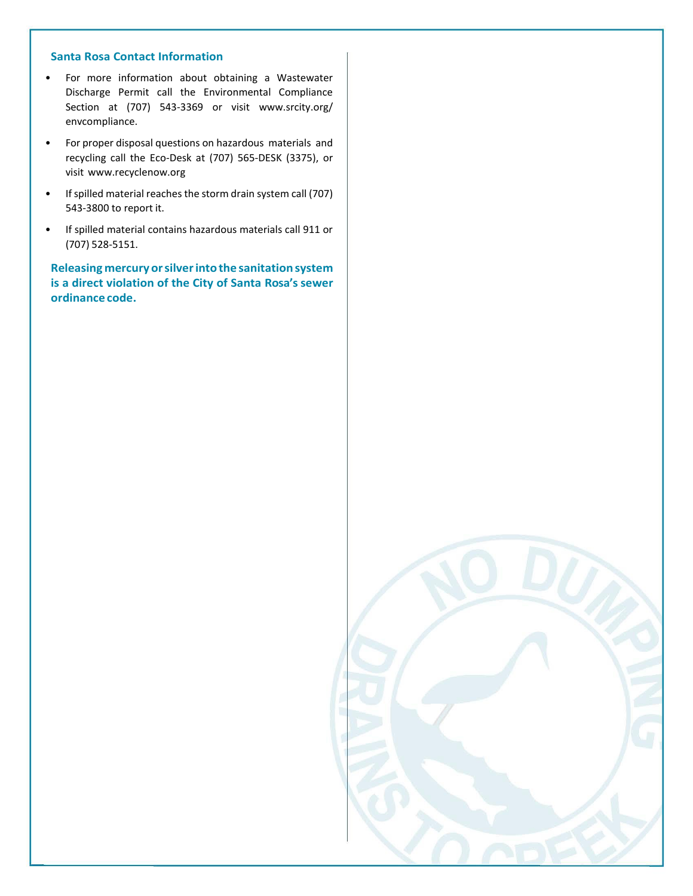#### **Santa Rosa Contact Information**

- For more information about obtaining a Wastewater Discharge Permit call the Environmental Compliance Section at (707) 543-3369 or visit [www.srcity.org/](http://www.srcity.org/) envcompliance.
- For proper disposal questions on hazardous materials and recycling call the Eco-Desk at (707) 565-DESK (3375), or visit [www.recyclenow.org](http://www.recyclenow.org/)
- If spilled material reaches the storm drain system call (707) 543-3800 to report it.
- If spilled material contains hazardous materials call 911 or (707) 528-5151.

**Releasing mercury orsilverintothe sanitation system is a direct violation of the City of Santa Rosa's sewer ordinance code.**